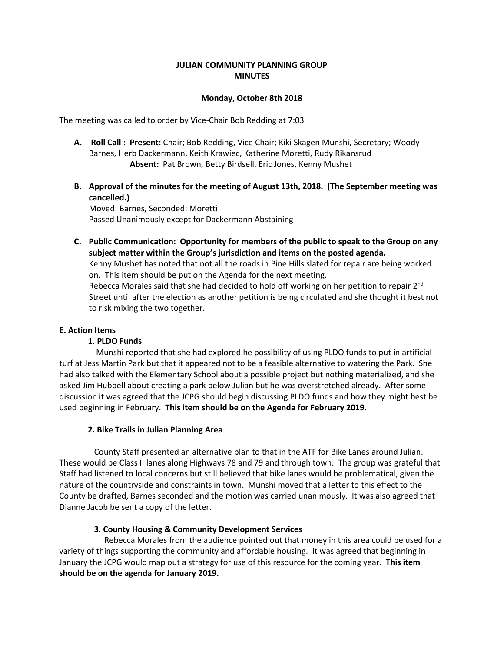# **JULIAN COMMUNITY PLANNING GROUP MINUTES**

### **Monday, October 8th 2018**

The meeting was called to order by Vice-Chair Bob Redding at 7:03

- **A. Roll Call : Present:** Chair; Bob Redding, Vice Chair; Kiki Skagen Munshi, Secretary; Woody Barnes, Herb Dackermann, Keith Krawiec, Katherine Moretti, Rudy Rikansrud  **Absent:** Pat Brown, Betty Birdsell, Eric Jones, Kenny Mushet
- **B. Approval of the minutes for the meeting of August 13th, 2018. (The September meeting was cancelled.)**

Moved: Barnes, Seconded: Moretti Passed Unanimously except for Dackermann Abstaining

**C. Public Communication: Opportunity for members of the public to speak to the Group on any subject matter within the Group's jurisdiction and items on the posted agenda.**  Kenny Mushet has noted that not all the roads in Pine Hills slated for repair are being worked on. This item should be put on the Agenda for the next meeting. Rebecca Morales said that she had decided to hold off working on her petition to repair  $2^{nd}$ Street until after the election as another petition is being circulated and she thought it best not to risk mixing the two together.

# **E. Action Items**

### **1. PLDO Funds**

Munshi reported that she had explored he possibility of using PLDO funds to put in artificial turf at Jess Martin Park but that it appeared not to be a feasible alternative to watering the Park. She had also talked with the Elementary School about a possible project but nothing materialized, and she asked Jim Hubbell about creating a park below Julian but he was overstretched already. After some discussion it was agreed that the JCPG should begin discussing PLDO funds and how they might best be used beginning in February. **This item should be on the Agenda for February 2019**.

### **2. Bike Trails in Julian Planning Area**

 County Staff presented an alternative plan to that in the ATF for Bike Lanes around Julian. These would be Class II lanes along Highways 78 and 79 and through town. The group was grateful that Staff had listened to local concerns but still believed that bike lanes would be problematical, given the nature of the countryside and constraints in town. Munshi moved that a letter to this effect to the County be drafted, Barnes seconded and the motion was carried unanimously. It was also agreed that Dianne Jacob be sent a copy of the letter.

# **3. County Housing & Community Development Services**

Rebecca Morales from the audience pointed out that money in this area could be used for a variety of things supporting the community and affordable housing. It was agreed that beginning in January the JCPG would map out a strategy for use of this resource for the coming year. **This item should be on the agenda for January 2019.**